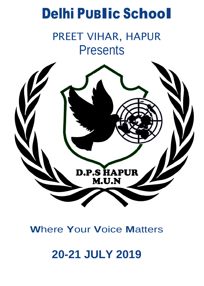# Delhi <sup>P</sup>UBlic School

## PREET VIHAR, HAPUR **Presents**



## **W**here **Y**our **V**oice **M**atters

## **20-21 JULY 2019**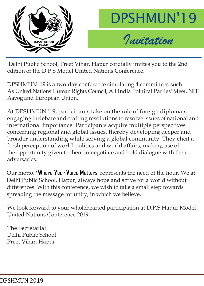



Delhi Public School, Preet Vihar, Hapur cordially invites you to the 2nd edition of the D.P.S Model United Nations Conference.

DPSHMUN '19 is a two-day conference simulating 4 committees such As United Nations Human Rights Council, All India Political Parties' Meet, NITI Aayog and European Union.

At DPSHMUN '19, participants take on the role of foreign diplomats – engaging in debate and crafting resolutions to resolve issues of national and international importance. Participants acquire multiple perspectives concerning regional and global issues, thereby developing deeper and broader understanding while serving a global community. They elicit a fresh perception of world-politics and world affairs, making use of the opportunity given to them to negotiate and hold dialogue with their adversaries.

Our motto, '**W**here **Y**our **V**oice **M**atters' represents the need of the hour. We at Delhi Public School, Hapur, always hope and strive for a world without differences. With this conference, we wish to take a small step towards spreading the message for unity, in which we believe.

We look forward to your wholehearted participation at D.P.S Hapur Model United Nations Conference 2019.

The Secretariat Delhi Public School Preet Vihar, Hapur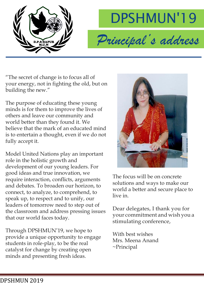



"The secret of change is to focus all of your energy, not in fighting the old, but on building the new."

The purpose of educating these young minds is for them to improve the lives of others and leave our community and world better than they found it. We believe that the mark of an educated mind is to entertain a thought, even if we do not fully accept it.

Model United Nations play an important role in the holistic growth and development of our young leaders. For good ideas and true innovation, we require interaction, conflicts, arguments and debates. To broaden our horizon, to connect, to analyze, to comprehend, to speak up, to respect and to unify, our leaders of tomorrow need to step out of the classroom and address pressing issues that our world faces today.

Through DPSHMUN'19, we hope to provide a unique opportunity to engage students in role-play, to be the real catalyst for change by creating open minds and presenting fresh ideas.



The focus will be on concrete solutions and ways to make our world a better and secure place to live in.

Dear delegates, I thank you for your commitment and wish you a stimulating conference,

With best wishes Mrs. Meena Anand ~Principal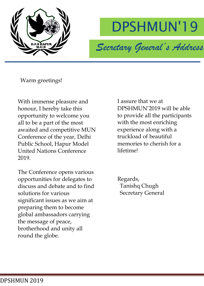



Warm greetings!

With immense pleasure and honour, I hereby take this opportunity to welcome you all to be a part of the most awaited and competitive MUN Conference of the year, Delhi Public School, Hapur Model United Nations Conference 2019.

The Conference opens various opportunities for delegates to discuss and debate and to find solutions for various significant issues as we aim at preparing them to become global ambassadors carrying the message of peace, brotherhood and unity all round the globe.

I assure that we at DPSHMUN'2019 will be able to provide all the participants with the most enriching experience along with a truckload of beautiful memories to cherish for a lifetime!

Regards, Tanishq Chugh Secretary General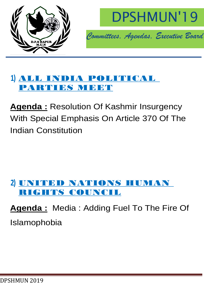



### **1)** ALL INDIA POLITICAL PARTIES MEET

**Agenda :** Resolution Of Kashmir Insurgency With Special Emphasis On Article 370 Of The Indian Constitution

## **2)** UNITED NATIONS HUMAN RIGHTS COUNCIL

**Agenda :** Media : Adding Fuel To The Fire Of Islamophobia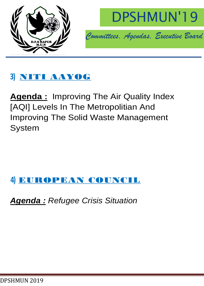



## **3)** NITI AAYOG

**Agenda :** Improving The Air Quality Index [AQI] Levels In The Metropolitian And Improving The Solid Waste Management System

### **4)** EUROPEAN COUNCIL

*Agenda : Refugee Crisis Situation*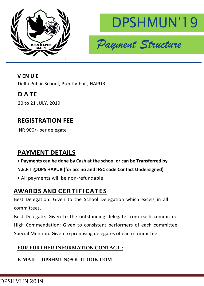



**V EN U E** Delhi Public School, Preet Vihar , HAPUR

#### **D A TE**

20 to 21 JULY, 2019.

#### **REGISTRATION FEE**

INR 900/- per delegate

#### **PAYMENT DETAILS**

#### • **Payments can be done by Cash at the school or can be Transferred by**

#### **N.E.F.T @DPS HAPUR (for acc no and IFSC code Contact Undersigned)**

• All payments will be non-refundable

#### **AWARDS AND CER TIF IC ATES**

Best Delegation: Given to the School Delegation which excels in all committees.

Best Delegate: Given to the outstanding delegate from each committee High Commendation: Given to consistent performers of each committee Special Mention: Given to promising delegates of each committee

#### **FOR FURTHER INFORMATION CONTACT :**

#### **E-MAIL – DPSHMUN@OUTLOOK.COM**

DPSHMUN 2019